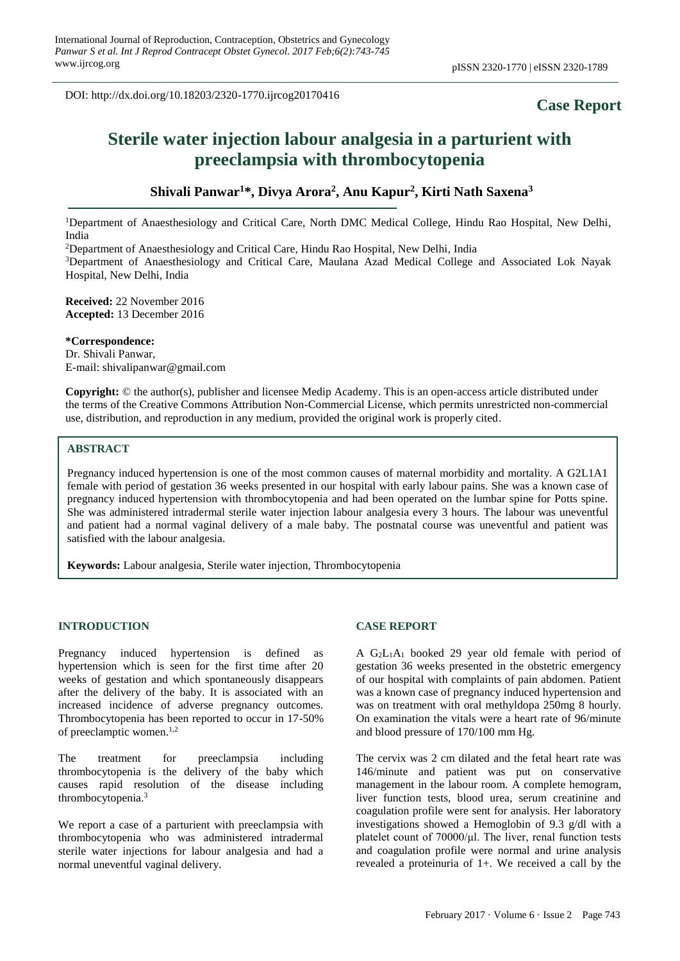DOI: http://dx.doi.org/10.18203/2320-1770.ijrcog20170416

## **Case Report**

# **Sterile water injection labour analgesia in a parturient with preeclampsia with thrombocytopenia**

### **Shivali Panwar<sup>1</sup>\*, Divya Arora<sup>2</sup> , Anu Kapur<sup>2</sup> , Kirti Nath Saxena<sup>3</sup>**

<sup>1</sup>Department of Anaesthesiology and Critical Care, North DMC Medical College, Hindu Rao Hospital, New Delhi, India

<sup>2</sup>Department of Anaesthesiology and Critical Care, Hindu Rao Hospital, New Delhi, India

<sup>3</sup>Department of Anaesthesiology and Critical Care, Maulana Azad Medical College and Associated Lok Nayak Hospital, New Delhi, India

**Received:** 22 November 2016 **Accepted:** 13 December 2016

#### **\*Correspondence:**

Dr. Shivali Panwar, E-mail: shivalipanwar@gmail.com

**Copyright:** © the author(s), publisher and licensee Medip Academy. This is an open-access article distributed under the terms of the Creative Commons Attribution Non-Commercial License, which permits unrestricted non-commercial use, distribution, and reproduction in any medium, provided the original work is properly cited.

#### **ABSTRACT**

Pregnancy induced hypertension is one of the most common causes of maternal morbidity and mortality. A G2L1A1 female with period of gestation 36 weeks presented in our hospital with early labour pains. She was a known case of pregnancy induced hypertension with thrombocytopenia and had been operated on the lumbar spine for Potts spine. She was administered intradermal sterile water injection labour analgesia every 3 hours. The labour was uneventful and patient had a normal vaginal delivery of a male baby. The postnatal course was uneventful and patient was satisfied with the labour analgesia.

**Keywords:** Labour analgesia, Sterile water injection, Thrombocytopenia

#### **INTRODUCTION**

Pregnancy induced hypertension is defined as hypertension which is seen for the first time after 20 weeks of gestation and which spontaneously disappears after the delivery of the baby. It is associated with an increased incidence of adverse pregnancy outcomes. Thrombocytopenia has been reported to occur in 17-50% of preeclamptic women. 1,2

The treatment for preeclampsia including thrombocytopenia is the delivery of the baby which causes rapid resolution of the disease including thrombocytopenia. 3

We report a case of a parturient with preeclampsia with thrombocytopenia who was administered intradermal sterile water injections for labour analgesia and had a normal uneventful vaginal delivery.

#### **CASE REPORT**

A G2L1A<sup>1</sup> booked 29 year old female with period of gestation 36 weeks presented in the obstetric emergency of our hospital with complaints of pain abdomen. Patient was a known case of pregnancy induced hypertension and was on treatment with oral methyldopa 250mg 8 hourly. On examination the vitals were a heart rate of 96/minute and blood pressure of 170/100 mm Hg.

The cervix was 2 cm dilated and the fetal heart rate was 146/minute and patient was put on conservative management in the labour room. A complete hemogram, liver function tests, blood urea, serum creatinine and coagulation profile were sent for analysis. Her laboratory investigations showed a Hemoglobin of 9.3 g/dl with a platelet count of 70000/μl. The liver, renal function tests and coagulation profile were normal and urine analysis revealed a proteinuria of 1+. We received a call by the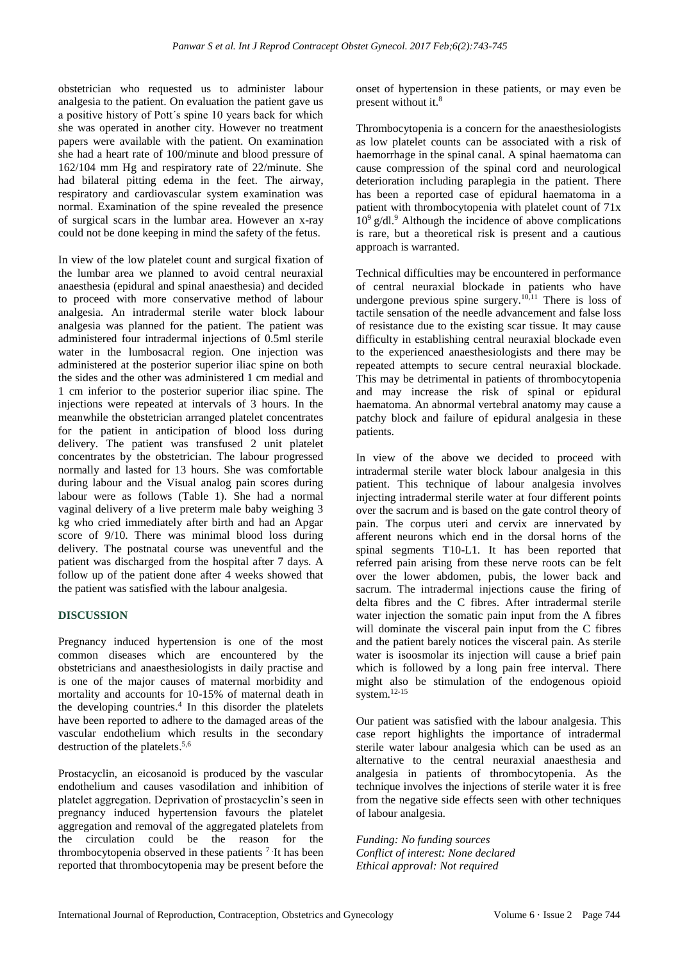obstetrician who requested us to administer labour analgesia to the patient. On evaluation the patient gave us a positive history of Pott΄s spine 10 years back for which she was operated in another city. However no treatment papers were available with the patient. On examination she had a heart rate of 100/minute and blood pressure of 162/104 mm Hg and respiratory rate of 22/minute. She had bilateral pitting edema in the feet. The airway, respiratory and cardiovascular system examination was normal. Examination of the spine revealed the presence of surgical scars in the lumbar area. However an x-ray could not be done keeping in mind the safety of the fetus.

In view of the low platelet count and surgical fixation of the lumbar area we planned to avoid central neuraxial anaesthesia (epidural and spinal anaesthesia) and decided to proceed with more conservative method of labour analgesia. An intradermal sterile water block labour analgesia was planned for the patient. The patient was administered four intradermal injections of 0.5ml sterile water in the lumbosacral region. One injection was administered at the posterior superior iliac spine on both the sides and the other was administered 1 cm medial and 1 cm inferior to the posterior superior iliac spine. The injections were repeated at intervals of 3 hours. In the meanwhile the obstetrician arranged platelet concentrates for the patient in anticipation of blood loss during delivery. The patient was transfused 2 unit platelet concentrates by the obstetrician. The labour progressed normally and lasted for 13 hours. She was comfortable during labour and the Visual analog pain scores during labour were as follows (Table 1). She had a normal vaginal delivery of a live preterm male baby weighing 3 kg who cried immediately after birth and had an Apgar score of 9/10. There was minimal blood loss during delivery. The postnatal course was uneventful and the patient was discharged from the hospital after 7 days. A follow up of the patient done after 4 weeks showed that the patient was satisfied with the labour analgesia.

#### **DISCUSSION**

Pregnancy induced hypertension is one of the most common diseases which are encountered by the obstetricians and anaesthesiologists in daily practise and is one of the major causes of maternal morbidity and mortality and accounts for 10-15% of maternal death in the developing countries. 4 In this disorder the platelets have been reported to adhere to the damaged areas of the vascular endothelium which results in the secondary destruction of the platelets. 5,6

Prostacyclin, an eicosanoid is produced by the vascular endothelium and causes vasodilation and inhibition of platelet aggregation. Deprivation of prostacyclin's seen in pregnancy induced hypertension favours the platelet aggregation and removal of the aggregated platelets from the circulation could be the reason for the thrombocytopenia observed in these patients  $<sup>7</sup>$  It has been</sup> reported that thrombocytopenia may be present before the onset of hypertension in these patients, or may even be present without it. 8

Thrombocytopenia is a concern for the anaesthesiologists as low platelet counts can be associated with a risk of haemorrhage in the spinal canal. A spinal haematoma can cause compression of the spinal cord and neurological deterioration including paraplegia in the patient. There has been a reported case of epidural haematoma in a patient with thrombocytopenia with platelet count of 71x 10<sup>9</sup>g/dl. <sup>9</sup> Although the incidence of above complications is rare, but a theoretical risk is present and a cautious approach is warranted.

Technical difficulties may be encountered in performance of central neuraxial blockade in patients who have undergone previous spine surgery.<sup>10,11</sup> There is loss of tactile sensation of the needle advancement and false loss of resistance due to the existing scar tissue. It may cause difficulty in establishing central neuraxial blockade even to the experienced anaesthesiologists and there may be repeated attempts to secure central neuraxial blockade. This may be detrimental in patients of thrombocytopenia and may increase the risk of spinal or epidural haematoma. An abnormal vertebral anatomy may cause a patchy block and failure of epidural analgesia in these patients.

In view of the above we decided to proceed with intradermal sterile water block labour analgesia in this patient. This technique of labour analgesia involves injecting intradermal sterile water at four different points over the sacrum and is based on the gate control theory of pain. The corpus uteri and cervix are innervated by afferent neurons which end in the dorsal horns of the spinal segments T10-L1. It has been reported that referred pain arising from these nerve roots can be felt over the lower abdomen, pubis, the lower back and sacrum. The intradermal injections cause the firing of delta fibres and the C fibres. After intradermal sterile water injection the somatic pain input from the A fibres will dominate the visceral pain input from the C fibres and the patient barely notices the visceral pain. As sterile water is isoosmolar its injection will cause a brief pain which is followed by a long pain free interval. There might also be stimulation of the endogenous opioid system. 12-15

Our patient was satisfied with the labour analgesia. This case report highlights the importance of intradermal sterile water labour analgesia which can be used as an alternative to the central neuraxial anaesthesia and analgesia in patients of thrombocytopenia. As the technique involves the injections of sterile water it is free from the negative side effects seen with other techniques of labour analgesia.

*Funding: No funding sources Conflict of interest: None declared Ethical approval: Not required*